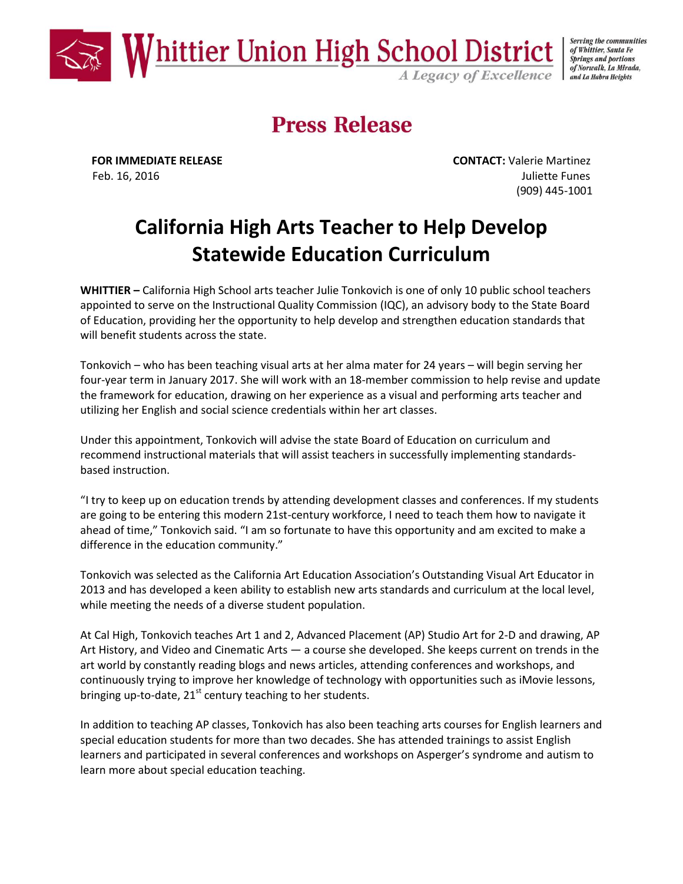

Serving the communities of Whittier, Santa Fe **Springs and portions** of Norwalk, La Mirada, and La Habra Heights

# **Press Release**

**FOR IMMEDIATE RELEASE CONTACT:** Valerie Martinez Feb. 16, 2016 Juliette Funes (909) 445-1001

## **California High Arts Teacher to Help Develop Statewide Education Curriculum**

**WHITTIER –** California High School arts teacher Julie Tonkovich is one of only 10 public school teachers appointed to serve on the Instructional Quality Commission (IQC), an advisory body to the State Board of Education, providing her the opportunity to help develop and strengthen education standards that will benefit students across the state.

Tonkovich – who has been teaching visual arts at her alma mater for 24 years – will begin serving her four-year term in January 2017. She will work with an 18-member commission to help revise and update the framework for education, drawing on her experience as a visual and performing arts teacher and utilizing her English and social science credentials within her art classes.

Under this appointment, Tonkovich will advise the state Board of Education on curriculum and recommend instructional materials that will assist teachers in successfully implementing standardsbased instruction.

"I try to keep up on education trends by attending development classes and conferences. If my students are going to be entering this modern 21st-century workforce, I need to teach them how to navigate it ahead of time," Tonkovich said. "I am so fortunate to have this opportunity and am excited to make a difference in the education community."

Tonkovich was selected as the California Art Education Association's Outstanding Visual Art Educator in 2013 and has developed a keen ability to establish new arts standards and curriculum at the local level, while meeting the needs of a diverse student population.

At Cal High, Tonkovich teaches Art 1 and 2, Advanced Placement (AP) Studio Art for 2-D and drawing, AP Art History, and Video and Cinematic Arts — a course she developed. She keeps current on trends in the art world by constantly reading blogs and news articles, attending conferences and workshops, and continuously trying to improve her knowledge of technology with opportunities such as iMovie lessons, bringing up-to-date,  $21^{st}$  century teaching to her students.

In addition to teaching AP classes, Tonkovich has also been teaching arts courses for English learners and special education students for more than two decades. She has attended trainings to assist English learners and participated in several conferences and workshops on Asperger's syndrome and autism to learn more about special education teaching.